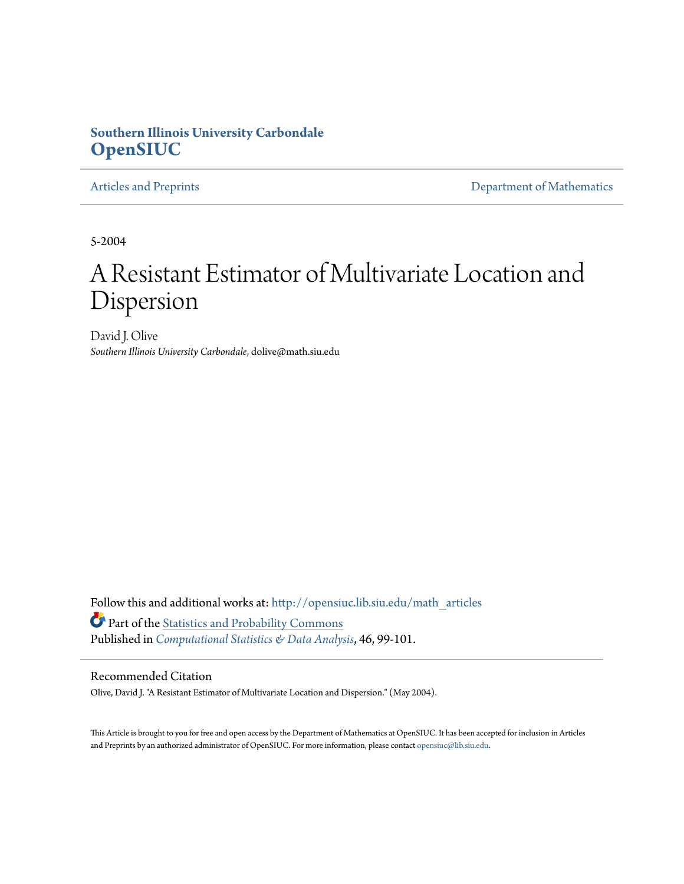### **Southern Illinois University Carbondale [OpenSIUC](http://opensiuc.lib.siu.edu?utm_source=opensiuc.lib.siu.edu%2Fmath_articles%2F10&utm_medium=PDF&utm_campaign=PDFCoverPages)**

[Articles and Preprints](http://opensiuc.lib.siu.edu/math_articles?utm_source=opensiuc.lib.siu.edu%2Fmath_articles%2F10&utm_medium=PDF&utm_campaign=PDFCoverPages) **[Department of Mathematics](http://opensiuc.lib.siu.edu/math?utm_source=opensiuc.lib.siu.edu%2Fmath_articles%2F10&utm_medium=PDF&utm_campaign=PDFCoverPages)** 

5-2004

# A Resistant Estimator of Multivariate Location and Dispersion

David J. Olive *Southern Illinois University Carbondale*, dolive@math.siu.edu

Follow this and additional works at: [http://opensiuc.lib.siu.edu/math\\_articles](http://opensiuc.lib.siu.edu/math_articles?utm_source=opensiuc.lib.siu.edu%2Fmath_articles%2F10&utm_medium=PDF&utm_campaign=PDFCoverPages) Part of the [Statistics and Probability Commons](http://network.bepress.com/hgg/discipline/208?utm_source=opensiuc.lib.siu.edu%2Fmath_articles%2F10&utm_medium=PDF&utm_campaign=PDFCoverPages) Published in *[Computational Statistics & Data Analysis](http://www.elsevier.com/wps/find/journaldescription.cws_home/505539/description#description)*, 46, 99-101.

#### Recommended Citation

Olive, David J. "A Resistant Estimator of Multivariate Location and Dispersion." (May 2004).

This Article is brought to you for free and open access by the Department of Mathematics at OpenSIUC. It has been accepted for inclusion in Articles and Preprints by an authorized administrator of OpenSIUC. For more information, please contact [opensiuc@lib.siu.edu](mailto:opensiuc@lib.siu.edu).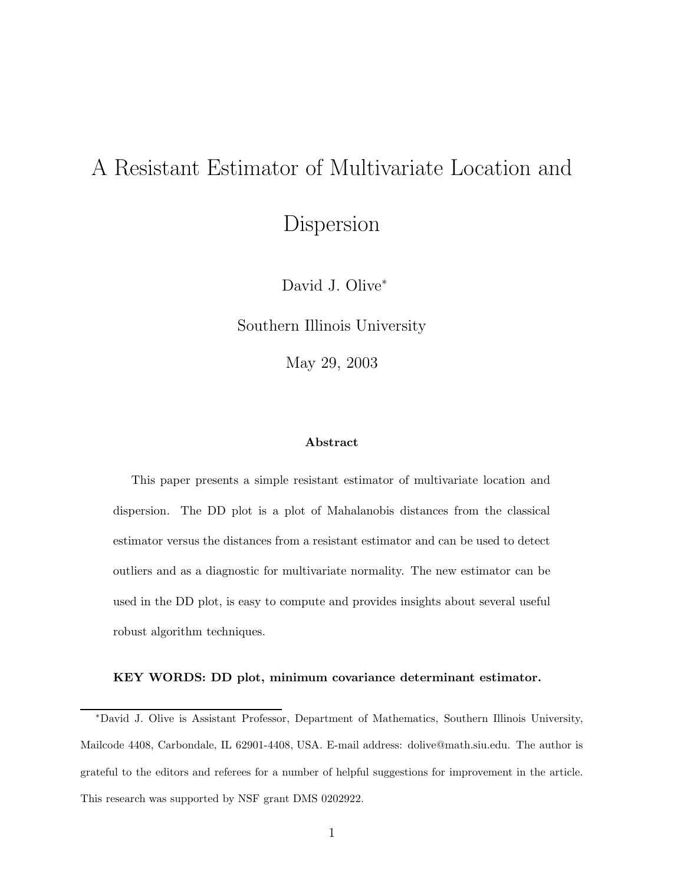## A Resistant Estimator of Multivariate Location and

Dispersion

David J. Olive<sup>∗</sup>

Southern Illinois University

May 29, 2003

#### **Abstract**

This paper presents a simple resistant estimator of multivariate location and dispersion. The DD plot is a plot of Mahalanobis distances from the classical estimator versus the distances from a resistant estimator and can be used to detect outliers and as a diagnostic for multivariate normality. The new estimator can be used in the DD plot, is easy to compute and provides insights about several useful robust algorithm techniques.

#### **KEY WORDS: DD plot, minimum covariance determinant estimator.**

<sup>∗</sup>David J. Olive is Assistant Professor, Department of Mathematics, Southern Illinois University, Mailcode 4408, Carbondale, IL 62901-4408, USA. E-mail address: dolive@math.siu.edu. The author is grateful to the editors and referees for a number of helpful suggestions for improvement in the article. This research was supported by NSF grant DMS 0202922.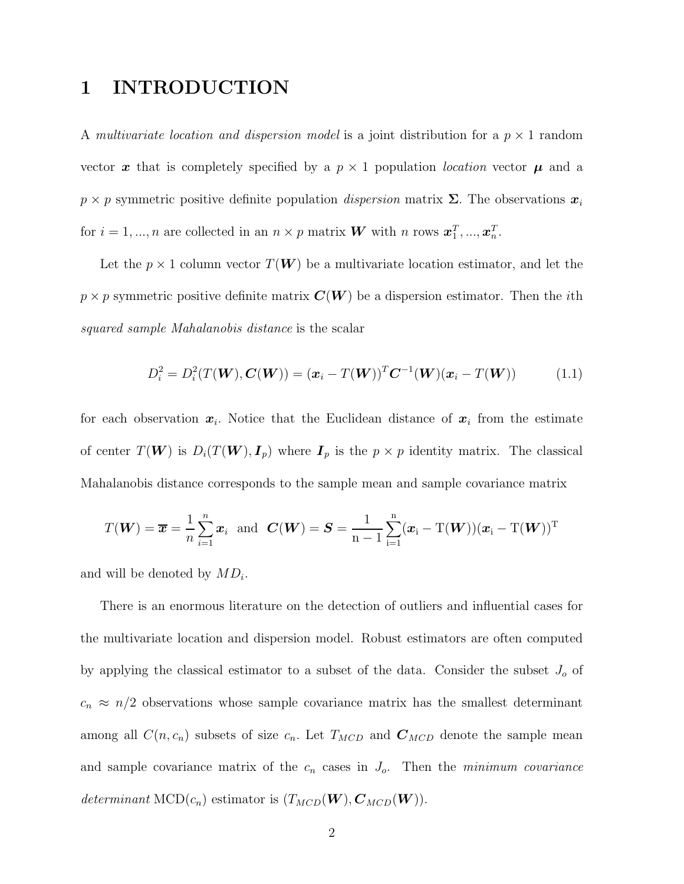## **1 INTRODUCTION**

A multivariate location and dispersion model is a joint distribution for a  $p \times 1$  random vector x that is completely specified by a  $p \times 1$  population *location* vector  $\mu$  and a  $p \times p$  symmetric positive definite population *dispersion* matrix  $\Sigma$ . The observations  $x_i$ for  $i = 1, ..., n$  are collected in an  $n \times p$  matrix **W** with n rows  $\boldsymbol{x}_1^T, ..., \boldsymbol{x}_n^T$ .

Let the  $p \times 1$  column vector  $T(W)$  be a multivariate location estimator, and let the  $p \times p$  symmetric positive definite matrix  $\mathbf{C}(\mathbf{W})$  be a dispersion estimator. Then the *i*th squared sample Mahalanobis distance is the scalar

$$
D_i^2 = D_i^2(T(W), C(W)) = (\mathbf{x}_i - T(W))^T C^{-1}(W)(\mathbf{x}_i - T(W))
$$
 (1.1)

for each observation  $x_i$ . Notice that the Euclidean distance of  $x_i$  from the estimate of center  $T(\mathbf{W})$  is  $D_i(T(\mathbf{W}), I_p)$  where  $I_p$  is the  $p \times p$  identity matrix. The classical Mahalanobis distance corresponds to the sample mean and sample covariance matrix

$$
T(\boldsymbol{W}) = \boldsymbol{\overline{x}} = \frac{1}{n} \sum_{i=1}^{n} \boldsymbol{x}_i \text{ and } \boldsymbol{C}(\boldsymbol{W}) = \boldsymbol{S} = \frac{1}{n-1} \sum_{i=1}^{n} (\boldsymbol{x}_i - T(\boldsymbol{W})) (\boldsymbol{x}_i - T(\boldsymbol{W}))^T
$$

and will be denoted by MD*i*.

There is an enormous literature on the detection of outliers and influential cases for the multivariate location and dispersion model. Robust estimators are often computed by applying the classical estimator to a subset of the data. Consider the subset J*<sup>o</sup>* of  $c_n \approx n/2$  observations whose sample covariance matrix has the smallest determinant among all  $C(n, c_n)$  subsets of size  $c_n$ . Let  $T_{MCD}$  and  $C_{MCD}$  denote the sample mean and sample covariance matrix of the  $c_n$  cases in  $J_o$ . Then the *minimum covariance* determinant MCD $(c_n)$  estimator is  $(T_{MCD}(\boldsymbol{W}), \boldsymbol{C}_{MCD}(\boldsymbol{W})).$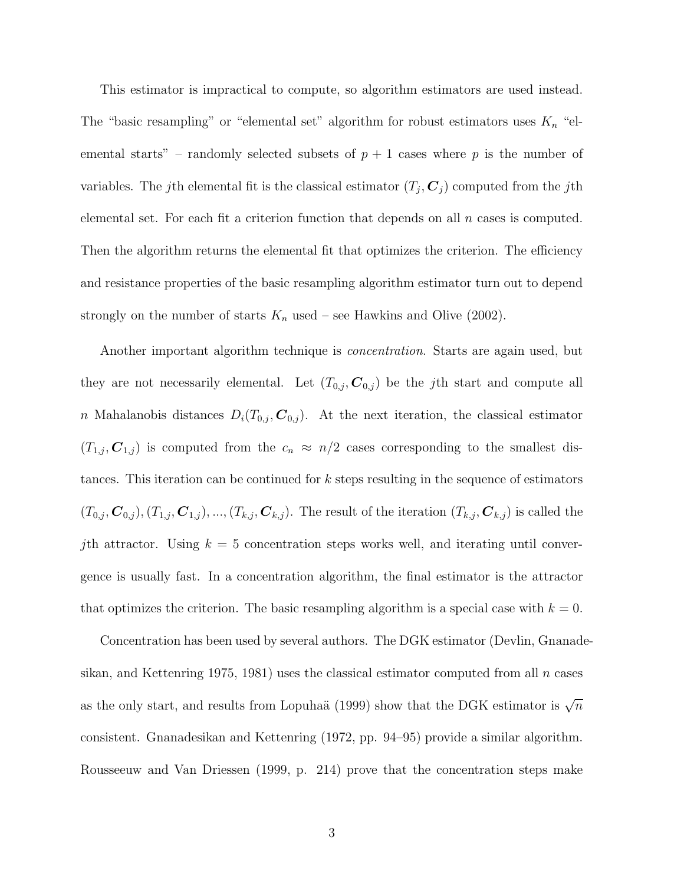This estimator is impractical to compute, so algorithm estimators are used instead. The "basic resampling" or "elemental set" algorithm for robust estimators uses K*<sup>n</sup>* "elemental starts" – randomly selected subsets of  $p + 1$  cases where p is the number of variables. The j<sup>th</sup> elemental fit is the classical estimator  $(T_j, C_j)$  computed from the j<sup>th</sup> elemental set. For each fit a criterion function that depends on all  $n$  cases is computed. Then the algorithm returns the elemental fit that optimizes the criterion. The efficiency and resistance properties of the basic resampling algorithm estimator turn out to depend strongly on the number of starts  $K_n$  used – see Hawkins and Olive (2002).

Another important algorithm technique is *concentration*. Starts are again used, but they are not necessarily elemental. Let  $(T_{0,j}, \mathcal{C}_{0,j})$  be the *j*th start and compute all n Mahalanobis distances  $D_i(T_{0,j}, \mathcal{C}_{0,j})$ . At the next iteration, the classical estimator  $(T_{1,j}, \mathcal{C}_{1,j})$  is computed from the  $c_n \approx n/2$  cases corresponding to the smallest distances. This iteration can be continued for k steps resulting in the sequence of estimators  $(T_{0,j}, \mathcal{C}_{0,j})$ ,  $(T_{1,j}, \mathcal{C}_{1,j})$ , ...,  $(T_{k,j}, \mathcal{C}_{k,j})$ . The result of the iteration  $(T_{k,j}, \mathcal{C}_{k,j})$  is called the *j*th attractor. Using  $k = 5$  concentration steps works well, and iterating until convergence is usually fast. In a concentration algorithm, the final estimator is the attractor that optimizes the criterion. The basic resampling algorithm is a special case with  $k = 0$ .

Concentration has been used by several authors. The DGK estimator (Devlin, Gnanadesikan, and Kettenring 1975, 1981) uses the classical estimator computed from all  $n$  cases as the only start, and results from Lopuhaä (1999) show that the DGK estimator is  $\sqrt{n}$ consistent. Gnanadesikan and Kettenring (1972, pp. 94–95) provide a similar algorithm. Rousseeuw and Van Driessen (1999, p. 214) prove that the concentration steps make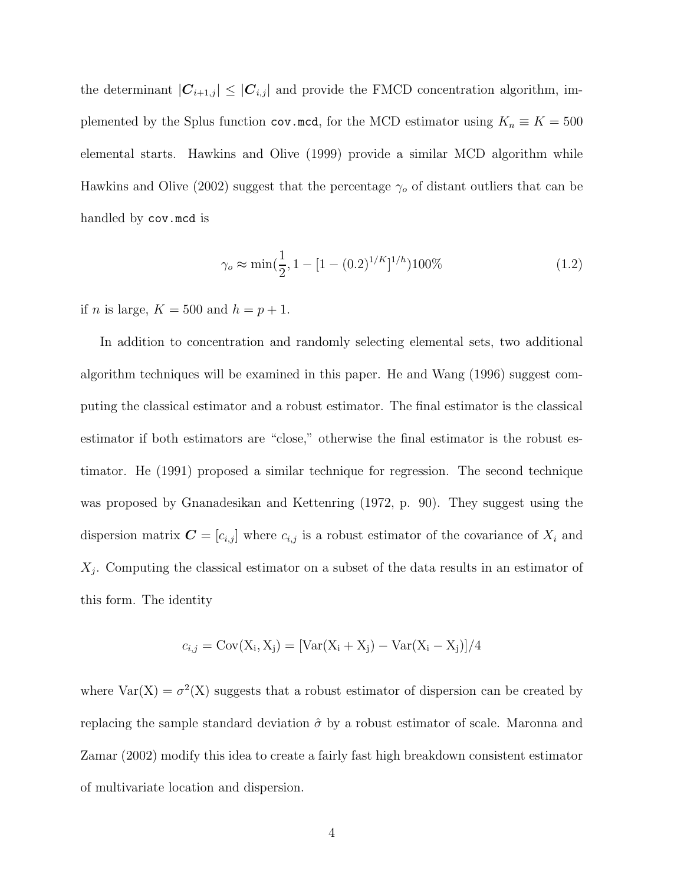the determinant  $|\mathbf{C}_{i+1,j}| \leq |\mathbf{C}_{i,j}|$  and provide the FMCD concentration algorithm, implemented by the Splus function cov.mcd, for the MCD estimator using  $K_n \equiv K = 500$ elemental starts. Hawkins and Olive (1999) provide a similar MCD algorithm while Hawkins and Olive (2002) suggest that the percentage  $\gamma_o$  of distant outliers that can be handled by cov.mcd is

$$
\gamma_o \approx \min(\frac{1}{2}, 1 - [1 - (0.2)^{1/K}]^{1/h}) 100\% \tag{1.2}
$$

if *n* is large,  $K = 500$  and  $h = p + 1$ .

In addition to concentration and randomly selecting elemental sets, two additional algorithm techniques will be examined in this paper. He and Wang (1996) suggest computing the classical estimator and a robust estimator. The final estimator is the classical estimator if both estimators are "close," otherwise the final estimator is the robust estimator. He (1991) proposed a similar technique for regression. The second technique was proposed by Gnanadesikan and Kettenring (1972, p. 90). They suggest using the dispersion matrix  $\mathbf{C} = [c_{i,j}]$  where  $c_{i,j}$  is a robust estimator of the covariance of  $X_i$  and X*j*. Computing the classical estimator on a subset of the data results in an estimator of this form. The identity

$$
c_{i,j} = \text{Cov}(X_i, X_j) = [\text{Var}(X_i + X_j) - \text{Var}(X_i - X_j)]/4
$$

where  $Var(X) = \sigma^2(X)$  suggests that a robust estimator of dispersion can be created by replacing the sample standard deviation  $\hat{\sigma}$  by a robust estimator of scale. Maronna and Zamar (2002) modify this idea to create a fairly fast high breakdown consistent estimator of multivariate location and dispersion.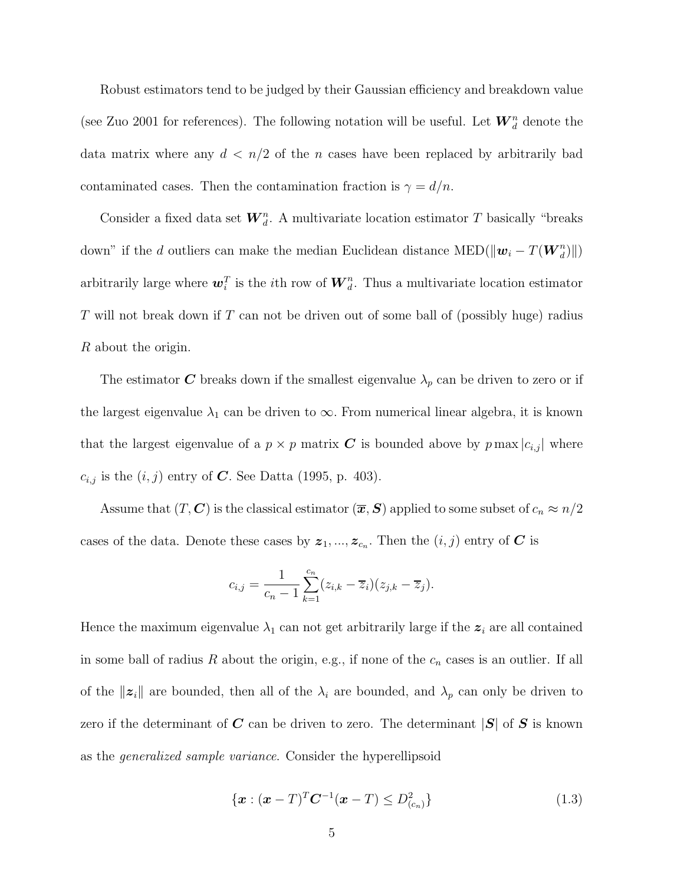Robust estimators tend to be judged by their Gaussian efficiency and breakdown value (see Zuo 2001 for references). The following notation will be useful. Let  $\boldsymbol{W}_d^n$  denote the data matrix where any  $d < n/2$  of the *n* cases have been replaced by arbitrarily bad contaminated cases. Then the contamination fraction is  $\gamma = d/n$ .

Consider a fixed data set  $W_d^n$ . A multivariate location estimator T basically "breaks" down" if the *d* outliers can make the median Euclidean distance MED( $\|\mathbf{w}_i - T(\mathbf{W}_d^n)\|$ ) arbitrarily large where  $w_i^T$  is the *i*<sup>th</sup> row of  $W_d^n$ . Thus a multivariate location estimator T will not break down if T can not be driven out of some ball of (possibly huge) radius R about the origin.

The estimator  $C$  breaks down if the smallest eigenvalue  $\lambda_p$  can be driven to zero or if the largest eigenvalue  $\lambda_1$  can be driven to  $\infty$ . From numerical linear algebra, it is known that the largest eigenvalue of a  $p \times p$  matrix *C* is bounded above by  $p \max |c_{i,j}|$  where  $c_{i,j}$  is the  $(i, j)$  entry of *C*. See Datta (1995, p. 403).

Assume that  $(T, \mathbf{C})$  is the classical estimator  $(\overline{x}, \mathbf{S})$  applied to some subset of  $c_n \approx n/2$ cases of the data. Denote these cases by  $z_1, ..., z_{c_n}$ . Then the  $(i, j)$  entry of *C* is

$$
c_{i,j} = \frac{1}{c_n - 1} \sum_{k=1}^{c_n} (z_{i,k} - \overline{z}_i)(z_{j,k} - \overline{z}_j).
$$

Hence the maximum eigenvalue  $\lambda_1$  can not get arbitrarily large if the  $z_i$  are all contained in some ball of radius R about the origin, e.g., if none of the c*<sup>n</sup>* cases is an outlier. If all of the  $||z_i||$  are bounded, then all of the  $\lambda_i$  are bounded, and  $\lambda_p$  can only be driven to zero if the determinant of *C* can be driven to zero. The determinant |*S*| of *S* is known as the generalized sample variance. Consider the hyperellipsoid

$$
\{ \boldsymbol{x} : (\boldsymbol{x} - T)^{T} \boldsymbol{C}^{-1} (\boldsymbol{x} - T) \leq D_{(c_n)}^2 \}
$$
\n(1.3)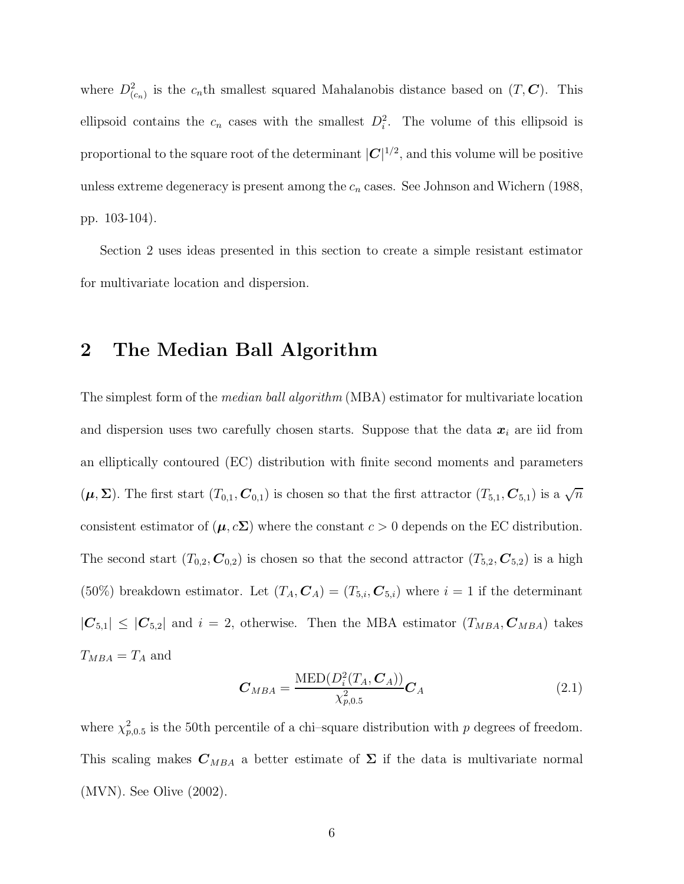where  $D^2_{(c_n)}$  is the  $c_n$ th smallest squared Mahalanobis distance based on  $(T, \mathbf{C})$ . This ellipsoid contains the  $c_n$  cases with the smallest  $D_i^2$ . The volume of this ellipsoid is proportional to the square root of the determinant  $|C|^{1/2}$ , and this volume will be positive unless extreme degeneracy is present among the  $c_n$  cases. See Johnson and Wichern (1988, pp. 103-104).

Section 2 uses ideas presented in this section to create a simple resistant estimator for multivariate location and dispersion.

## **2 The Median Ball Algorithm**

The simplest form of the *median ball algorithm* (MBA) estimator for multivariate location and dispersion uses two carefully chosen starts. Suppose that the data  $x_i$  are iid from an elliptically contoured (EC) distribution with finite second moments and parameters  $(\mu, \Sigma)$ . The first start  $(T_{0,1}, C_{0,1})$  is chosen so that the first attractor  $(T_{5,1}, C_{5,1})$  is a  $\sqrt{n}$ consistent estimator of  $(\mu, c\Sigma)$  where the constant  $c > 0$  depends on the EC distribution. The second start  $(T_{0,2}, \mathcal{C}_{0,2})$  is chosen so that the second attractor  $(T_{5,2}, \mathcal{C}_{5,2})$  is a high (50%) breakdown estimator. Let  $(T_A, \mathcal{C}_A) = (T_{5,i}, \mathcal{C}_{5,i})$  where  $i = 1$  if the determinant  $|\mathbf{C}_{5,1}| \leq |\mathbf{C}_{5,2}|$  and  $i = 2$ , otherwise. Then the MBA estimator  $(T_{MBA}, \mathbf{C}_{MBA})$  takes  $T_{MBA} = T_A$  and

$$
C_{MBA} = \frac{\text{MED}(D_i^2(T_A, C_A))}{\chi_{p,0.5}^2} C_A
$$
 (2.1)

where  $\chi_{p,0.5}^2$  is the 50th percentile of a chi-square distribution with p degrees of freedom. This scaling makes  $C_{MBA}$  a better estimate of  $\Sigma$  if the data is multivariate normal (MVN). See Olive (2002).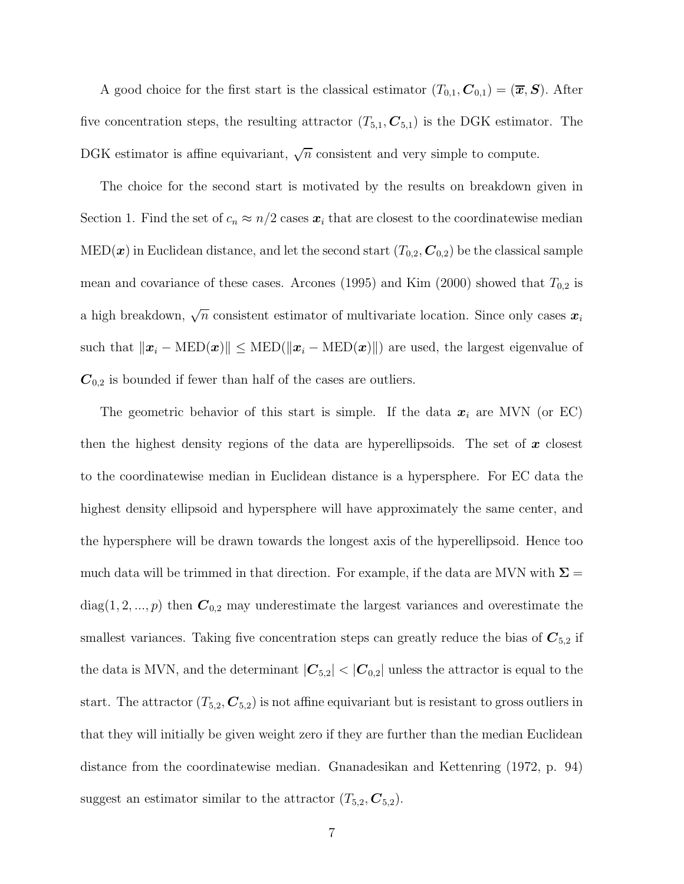A good choice for the first start is the classical estimator  $(T_{0,1}, \mathcal{C}_{0,1})=(\overline{x}, \mathcal{S})$ . After five concentration steps, the resulting attractor  $(T_{5,1}, \mathbb{C}_{5,1})$  is the DGK estimator. The DGK estimator is affine equivariant,  $\sqrt{n}$  consistent and very simple to compute.

The choice for the second start is motivated by the results on breakdown given in Section 1. Find the set of  $c_n \approx n/2$  cases  $x_i$  that are closest to the coordinatewise median  $\text{MED}(\boldsymbol{x})$  in Euclidean distance, and let the second start  $(T_{0,2}, \boldsymbol{C}_{0,2})$  be the classical sample mean and covariance of these cases. Arcones (1995) and Kim (2000) showed that  $T_{0,2}$  is a high breakdown,  $\sqrt{n}$  consistent estimator of multivariate location. Since only cases  $x_i$ such that  $\|\mathbf{x}_i - \text{MED}(\mathbf{x})\| \leq \text{MED}(\|\mathbf{x}_i - \text{MED}(\mathbf{x})\|)$  are used, the largest eigenvalue of  $C_{0,2}$  is bounded if fewer than half of the cases are outliers.

The geometric behavior of this start is simple. If the data  $x_i$  are MVN (or EC) then the highest density regions of the data are hyperellipsoids. The set of *x* closest to the coordinatewise median in Euclidean distance is a hypersphere. For EC data the highest density ellipsoid and hypersphere will have approximately the same center, and the hypersphere will be drawn towards the longest axis of the hyperellipsoid. Hence too much data will be trimmed in that direction. For example, if the data are MVN with  $\Sigma =$  $diag(1, 2, ..., p)$  then  $C_{0,2}$  may underestimate the largest variances and overestimate the smallest variances. Taking five concentration steps can greatly reduce the bias of  $C_{5,2}$  if the data is MVN, and the determinant  $|\mathbf{C}_{5,2}| < |\mathbf{C}_{0,2}|$  unless the attractor is equal to the start. The attractor  $(T_{5,2}, \mathbf{C}_{5,2})$  is not affine equivariant but is resistant to gross outliers in that they will initially be given weight zero if they are further than the median Euclidean distance from the coordinatewise median. Gnanadesikan and Kettenring (1972, p. 94) suggest an estimator similar to the attractor  $(T_{5,2}, \mathbf{C}_{5,2})$ .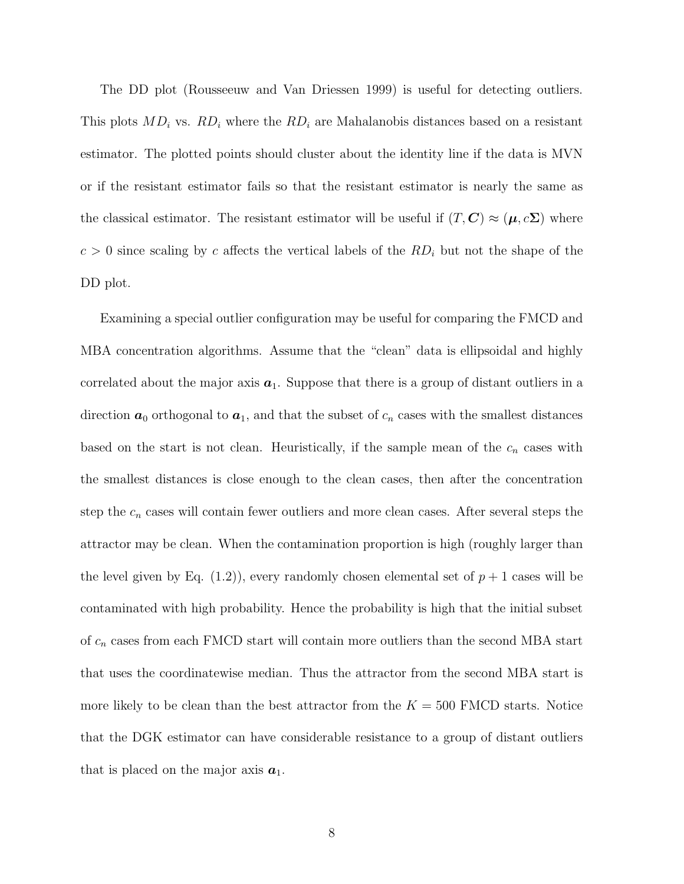The DD plot (Rousseeuw and Van Driessen 1999) is useful for detecting outliers. This plots MD*<sup>i</sup>* vs. RD*<sup>i</sup>* where the RD*<sup>i</sup>* are Mahalanobis distances based on a resistant estimator. The plotted points should cluster about the identity line if the data is MVN or if the resistant estimator fails so that the resistant estimator is nearly the same as the classical estimator. The resistant estimator will be useful if  $(T, C) \approx (\mu, c\Sigma)$  where  $c > 0$  since scaling by c affects the vertical labels of the  $RD<sub>i</sub>$  but not the shape of the DD plot.

Examining a special outlier configuration may be useful for comparing the FMCD and MBA concentration algorithms. Assume that the "clean" data is ellipsoidal and highly correlated about the major axis  $a_1$ . Suppose that there is a group of distant outliers in a direction  $a_0$  orthogonal to  $a_1$ , and that the subset of  $c_n$  cases with the smallest distances based on the start is not clean. Heuristically, if the sample mean of the  $c_n$  cases with the smallest distances is close enough to the clean cases, then after the concentration step the  $c_n$  cases will contain fewer outliers and more clean cases. After several steps the attractor may be clean. When the contamination proportion is high (roughly larger than the level given by Eq.  $(1.2)$ , every randomly chosen elemental set of  $p + 1$  cases will be contaminated with high probability. Hence the probability is high that the initial subset of c*<sup>n</sup>* cases from each FMCD start will contain more outliers than the second MBA start that uses the coordinatewise median. Thus the attractor from the second MBA start is more likely to be clean than the best attractor from the  $K = 500$  FMCD starts. Notice that the DGK estimator can have considerable resistance to a group of distant outliers that is placed on the major axis  $a_1$ .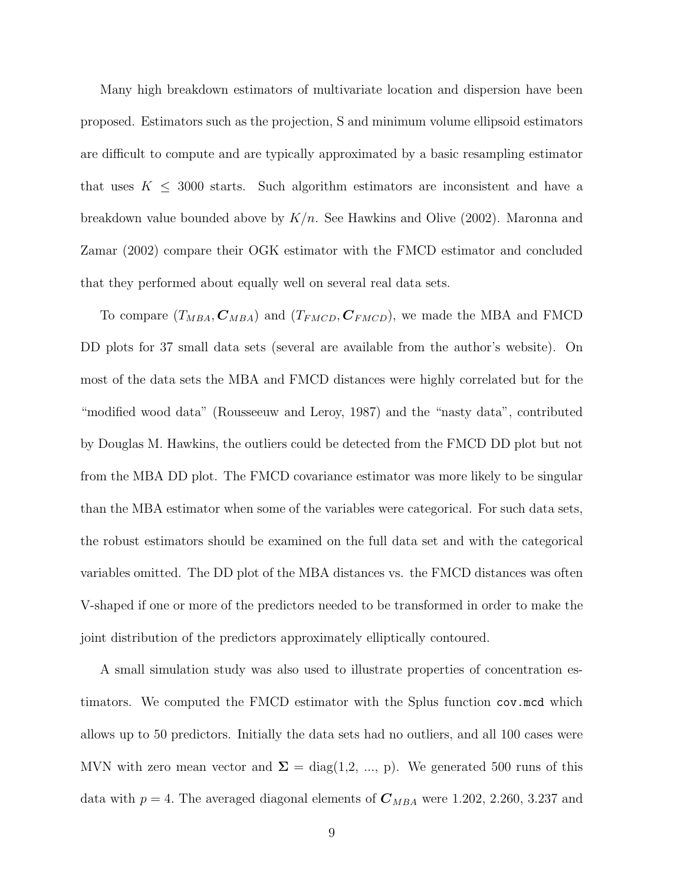Many high breakdown estimators of multivariate location and dispersion have been proposed. Estimators such as the projection, S and minimum volume ellipsoid estimators are difficult to compute and are typically approximated by a basic resampling estimator that uses  $K \leq 3000$  starts. Such algorithm estimators are inconsistent and have a breakdown value bounded above by  $K/n$ . See Hawkins and Olive (2002). Maronna and Zamar (2002) compare their OGK estimator with the FMCD estimator and concluded that they performed about equally well on several real data sets.

To compare  $(T_{MBA}, C_{MBA})$  and  $(T_{FMCD}, C_{FMCD})$ , we made the MBA and FMCD DD plots for 37 small data sets (several are available from the author's website). On most of the data sets the MBA and FMCD distances were highly correlated but for the "modified wood data" (Rousseeuw and Leroy, 1987) and the "nasty data", contributed by Douglas M. Hawkins, the outliers could be detected from the FMCD DD plot but not from the MBA DD plot. The FMCD covariance estimator was more likely to be singular than the MBA estimator when some of the variables were categorical. For such data sets, the robust estimators should be examined on the full data set and with the categorical variables omitted. The DD plot of the MBA distances vs. the FMCD distances was often V-shaped if one or more of the predictors needed to be transformed in order to make the joint distribution of the predictors approximately elliptically contoured.

A small simulation study was also used to illustrate properties of concentration estimators. We computed the FMCD estimator with the Splus function cov.mcd which allows up to 50 predictors. Initially the data sets had no outliers, and all 100 cases were MVN with zero mean vector and  $\Sigma = diag(1,2, ..., p)$ . We generated 500 runs of this data with  $p = 4$ . The averaged diagonal elements of  $C_{MBA}$  were 1.202, 2.260, 3.237 and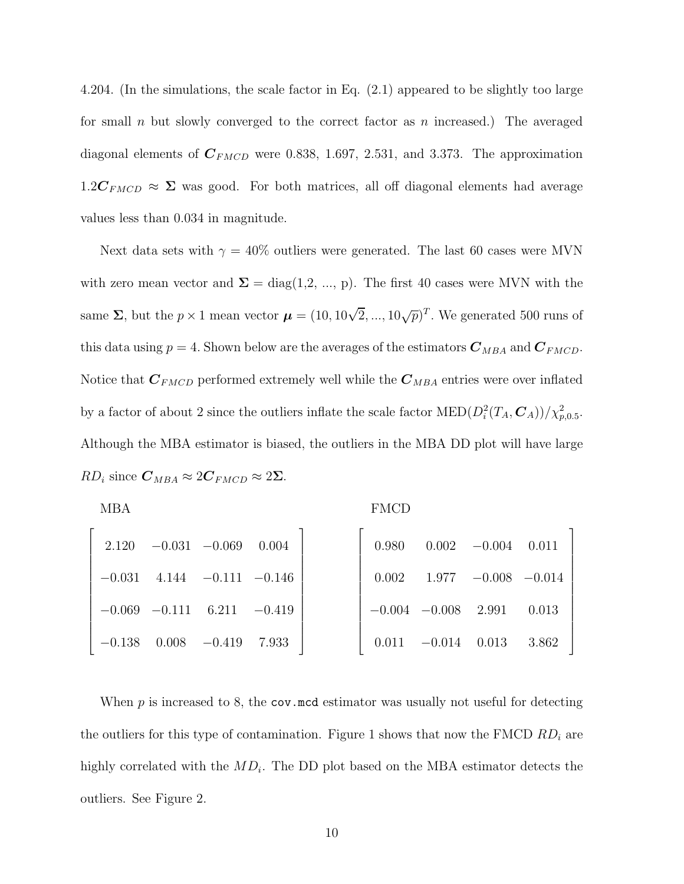4.204. (In the simulations, the scale factor in Eq. (2.1) appeared to be slightly too large for small n but slowly converged to the correct factor as n increased.) The averaged diagonal elements of  $C_{FMCD}$  were 0.838, 1.697, 2.531, and 3.373. The approximation  $1.2C_{FMCD} \approx \Sigma$  was good. For both matrices, all off diagonal elements had average values less than 0.034 in magnitude.

Next data sets with  $\gamma = 40\%$  outliers were generated. The last 60 cases were MVN with zero mean vector and  $\Sigma = diag(1,2, ..., p)$ . The first 40 cases were MVN with the same  $\Sigma$ , but the  $p \times 1$  mean vector  $\boldsymbol{\mu} = (10, 10\sqrt{2}, ..., 10\sqrt{p})^T$ . We generated 500 runs of this data using  $p = 4$ . Shown below are the averages of the estimators  $C_{MBA}$  and  $C_{FMCD}$ . Notice that  $C_{FMCD}$  performed extremely well while the  $C_{MBA}$  entries were over inflated by a factor of about 2 since the outliers inflate the scale factor  $\text{MED}(D_i^2(T_A, \mathcal{C}_A))/\chi^2_{p,0.5}$ . Although the MBA estimator is biased, the outliers in the MBA DD plot will have large  $RD_i$  since  $C_{MBA} \approx 2C_{FMCD} \approx 2\Sigma$ .

| <b>MBA</b>                         | <b>FMCD</b>                      |
|------------------------------------|----------------------------------|
| $2.120 -0.031 -0.069$<br>0.004     | $0.980$ $0.002$ $-0.004$ $0.011$ |
| $-0.031$ 4.144 $-0.111$ $-0.146$   | $0.002$ 1.977 $-0.008$ $-0.014$  |
| $-0.069$ $-0.111$ $6.211$ $-0.419$ | $-0.004$ $-0.008$ 2.991 0.013    |
| $-0.138$ $0.008$ $-0.419$ 7.933    | $0.011$ $-0.014$ $0.013$ $3.862$ |

When  $p$  is increased to 8, the cov.mcd estimator was usually not useful for detecting the outliers for this type of contamination. Figure 1 shows that now the FMCD RD*<sup>i</sup>* are highly correlated with the MD*i*. The DD plot based on the MBA estimator detects the outliers. See Figure 2.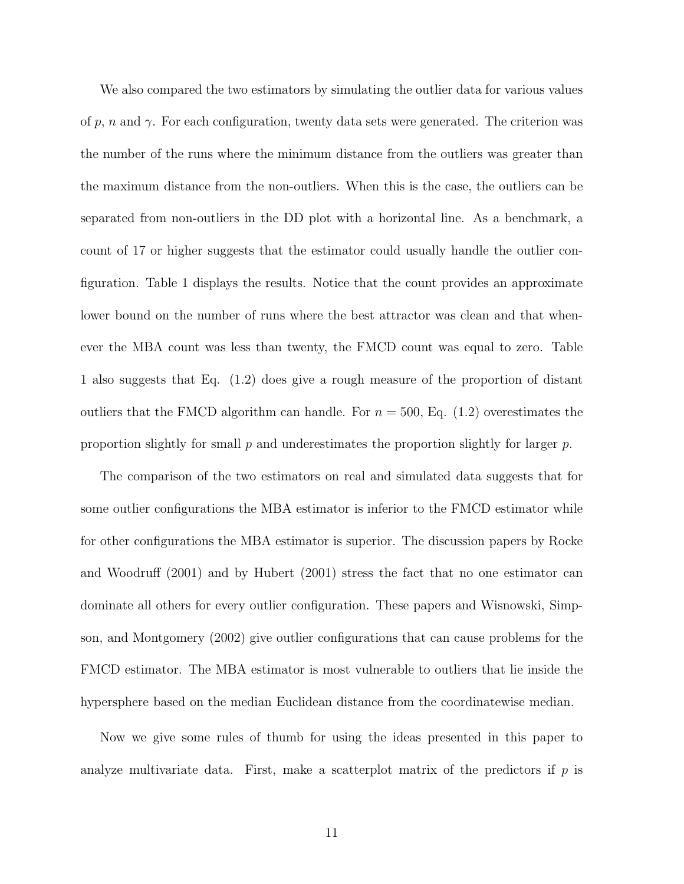We also compared the two estimators by simulating the outlier data for various values of p, n and  $\gamma$ . For each configuration, twenty data sets were generated. The criterion was the number of the runs where the minimum distance from the outliers was greater than the maximum distance from the non-outliers. When this is the case, the outliers can be separated from non-outliers in the DD plot with a horizontal line. As a benchmark, a count of 17 or higher suggests that the estimator could usually handle the outlier configuration. Table 1 displays the results. Notice that the count provides an approximate lower bound on the number of runs where the best attractor was clean and that whenever the MBA count was less than twenty, the FMCD count was equal to zero. Table 1 also suggests that Eq. (1.2) does give a rough measure of the proportion of distant outliers that the FMCD algorithm can handle. For  $n = 500$ , Eq. (1.2) overestimates the proportion slightly for small p and underestimates the proportion slightly for larger  $p$ .

The comparison of the two estimators on real and simulated data suggests that for some outlier configurations the MBA estimator is inferior to the FMCD estimator while for other configurations the MBA estimator is superior. The discussion papers by Rocke and Woodruff (2001) and by Hubert (2001) stress the fact that no one estimator can dominate all others for every outlier configuration. These papers and Wisnowski, Simpson, and Montgomery (2002) give outlier configurations that can cause problems for the FMCD estimator. The MBA estimator is most vulnerable to outliers that lie inside the hypersphere based on the median Euclidean distance from the coordinatewise median.

Now we give some rules of thumb for using the ideas presented in this paper to analyze multivariate data. First, make a scatterplot matrix of the predictors if  $p$  is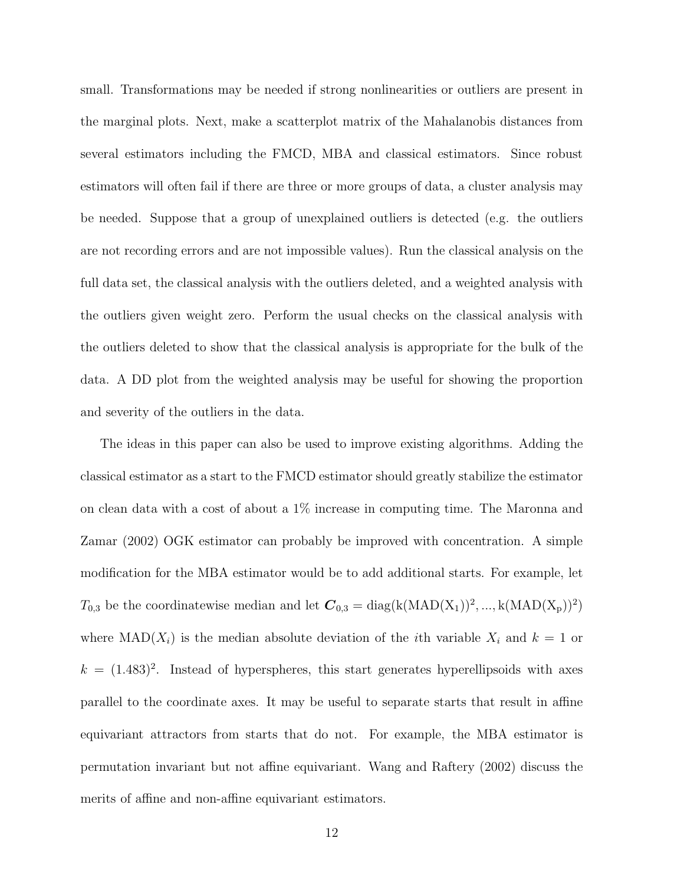small. Transformations may be needed if strong nonlinearities or outliers are present in the marginal plots. Next, make a scatterplot matrix of the Mahalanobis distances from several estimators including the FMCD, MBA and classical estimators. Since robust estimators will often fail if there are three or more groups of data, a cluster analysis may be needed. Suppose that a group of unexplained outliers is detected (e.g. the outliers are not recording errors and are not impossible values). Run the classical analysis on the full data set, the classical analysis with the outliers deleted, and a weighted analysis with the outliers given weight zero. Perform the usual checks on the classical analysis with the outliers deleted to show that the classical analysis is appropriate for the bulk of the data. A DD plot from the weighted analysis may be useful for showing the proportion and severity of the outliers in the data.

The ideas in this paper can also be used to improve existing algorithms. Adding the classical estimator as a start to the FMCD estimator should greatly stabilize the estimator on clean data with a cost of about a 1% increase in computing time. The Maronna and Zamar (2002) OGK estimator can probably be improved with concentration. A simple modification for the MBA estimator would be to add additional starts. For example, let  $T_{0,3}$  be the coordinatewise median and let  $C_{0,3} = \text{diag}(k(MAD(X_1))^2, ..., k(MAD(X_p))^2)$ where  $\text{MAD}(X_i)$  is the median absolute deviation of the *i*th variable  $X_i$  and  $k = 1$  or  $k = (1.483)^2$ . Instead of hyperspheres, this start generates hyperellipsoids with axes parallel to the coordinate axes. It may be useful to separate starts that result in affine equivariant attractors from starts that do not. For example, the MBA estimator is permutation invariant but not affine equivariant. Wang and Raftery (2002) discuss the merits of affine and non-affine equivariant estimators.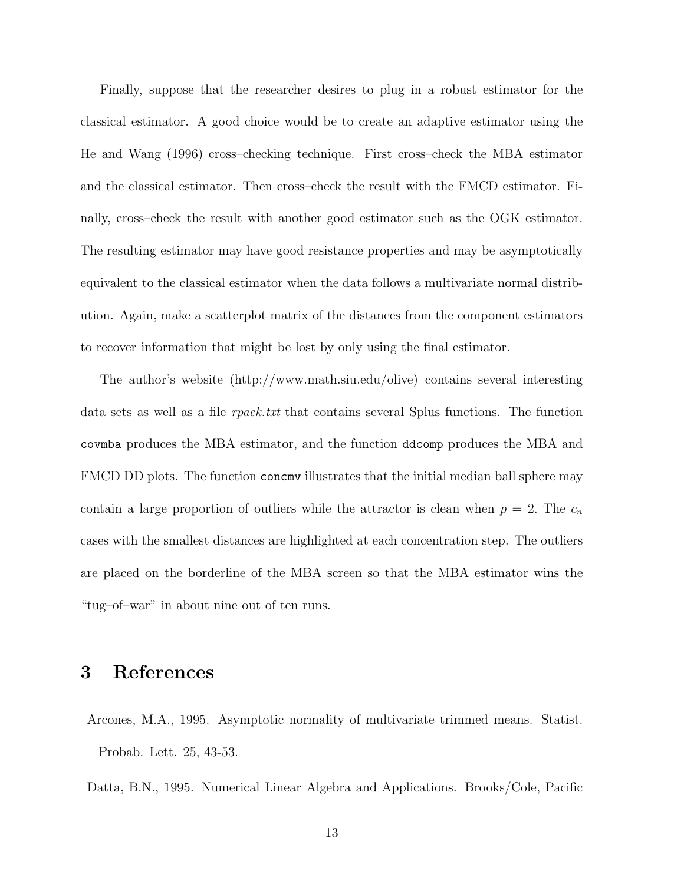Finally, suppose that the researcher desires to plug in a robust estimator for the classical estimator. A good choice would be to create an adaptive estimator using the He and Wang (1996) cross–checking technique. First cross–check the MBA estimator and the classical estimator. Then cross–check the result with the FMCD estimator. Finally, cross–check the result with another good estimator such as the OGK estimator. The resulting estimator may have good resistance properties and may be asymptotically equivalent to the classical estimator when the data follows a multivariate normal distribution. Again, make a scatterplot matrix of the distances from the component estimators to recover information that might be lost by only using the final estimator.

The author's website (http://www.math.siu.edu/olive) contains several interesting data sets as well as a file rpack.txt that contains several Splus functions. The function covmba produces the MBA estimator, and the function ddcomp produces the MBA and FMCD DD plots. The function concmv illustrates that the initial median ball sphere may contain a large proportion of outliers while the attractor is clean when  $p = 2$ . The  $c_n$ cases with the smallest distances are highlighted at each concentration step. The outliers are placed on the borderline of the MBA screen so that the MBA estimator wins the "tug–of–war" in about nine out of ten runs.

## **3 References**

Arcones, M.A., 1995. Asymptotic normality of multivariate trimmed means. Statist. Probab. Lett. 25, 43-53.

Datta, B.N., 1995. Numerical Linear Algebra and Applications. Brooks/Cole, Pacific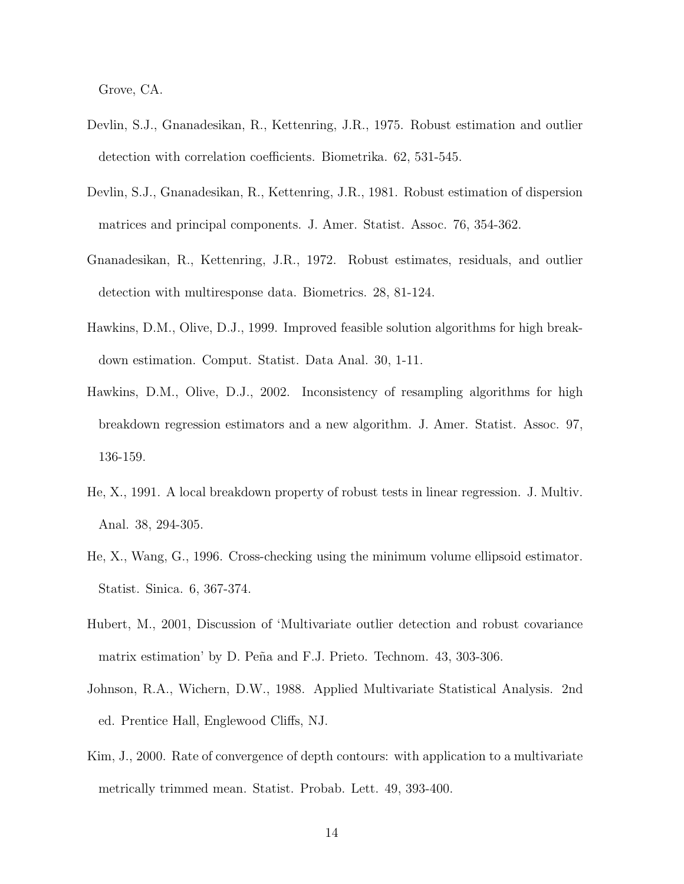Grove, CA.

- Devlin, S.J., Gnanadesikan, R., Kettenring, J.R., 1975. Robust estimation and outlier detection with correlation coefficients. Biometrika. 62, 531-545.
- Devlin, S.J., Gnanadesikan, R., Kettenring, J.R., 1981. Robust estimation of dispersion matrices and principal components. J. Amer. Statist. Assoc. 76, 354-362.
- Gnanadesikan, R., Kettenring, J.R., 1972. Robust estimates, residuals, and outlier detection with multiresponse data. Biometrics. 28, 81-124.
- Hawkins, D.M., Olive, D.J., 1999. Improved feasible solution algorithms for high breakdown estimation. Comput. Statist. Data Anal. 30, 1-11.
- Hawkins, D.M., Olive, D.J., 2002. Inconsistency of resampling algorithms for high breakdown regression estimators and a new algorithm. J. Amer. Statist. Assoc. 97, 136-159.
- He, X., 1991. A local breakdown property of robust tests in linear regression. J. Multiv. Anal. 38, 294-305.
- He, X., Wang, G., 1996. Cross-checking using the minimum volume ellipsoid estimator. Statist. Sinica. 6, 367-374.
- Hubert, M., 2001, Discussion of 'Multivariate outlier detection and robust covariance matrix estimation' by D. Peña and F.J. Prieto. Technom. 43, 303-306.
- Johnson, R.A., Wichern, D.W., 1988. Applied Multivariate Statistical Analysis. 2nd ed. Prentice Hall, Englewood Cliffs, NJ.
- Kim, J., 2000. Rate of convergence of depth contours: with application to a multivariate metrically trimmed mean. Statist. Probab. Lett. 49, 393-400.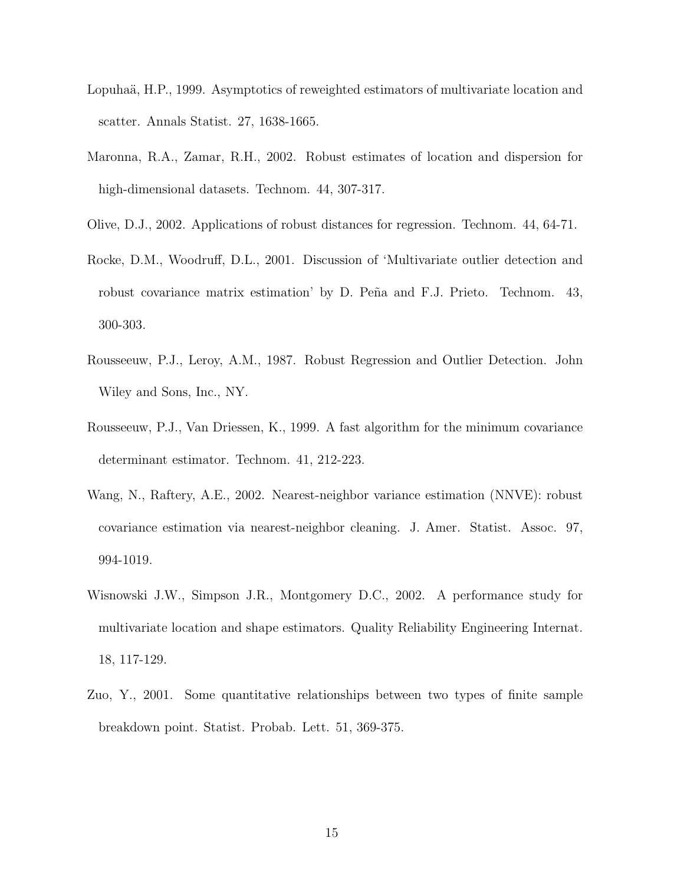- Lopuhaä, H.P., 1999. Asymptotics of reweighted estimators of multivariate location and scatter. Annals Statist. 27, 1638-1665.
- Maronna, R.A., Zamar, R.H., 2002. Robust estimates of location and dispersion for high-dimensional datasets. Technom. 44, 307-317.
- Olive, D.J., 2002. Applications of robust distances for regression. Technom. 44, 64-71.
- Rocke, D.M., Woodruff, D.L., 2001. Discussion of 'Multivariate outlier detection and robust covariance matrix estimation' by D. Peña and F.J. Prieto. Technom. 43, 300-303.
- Rousseeuw, P.J., Leroy, A.M., 1987. Robust Regression and Outlier Detection. John Wiley and Sons, Inc., NY.
- Rousseeuw, P.J., Van Driessen, K., 1999. A fast algorithm for the minimum covariance determinant estimator. Technom. 41, 212-223.
- Wang, N., Raftery, A.E., 2002. Nearest-neighbor variance estimation (NNVE): robust covariance estimation via nearest-neighbor cleaning. J. Amer. Statist. Assoc. 97, 994-1019.
- Wisnowski J.W., Simpson J.R., Montgomery D.C., 2002. A performance study for multivariate location and shape estimators. Quality Reliability Engineering Internat. 18, 117-129.
- Zuo, Y., 2001. Some quantitative relationships between two types of finite sample breakdown point. Statist. Probab. Lett. 51, 369-375.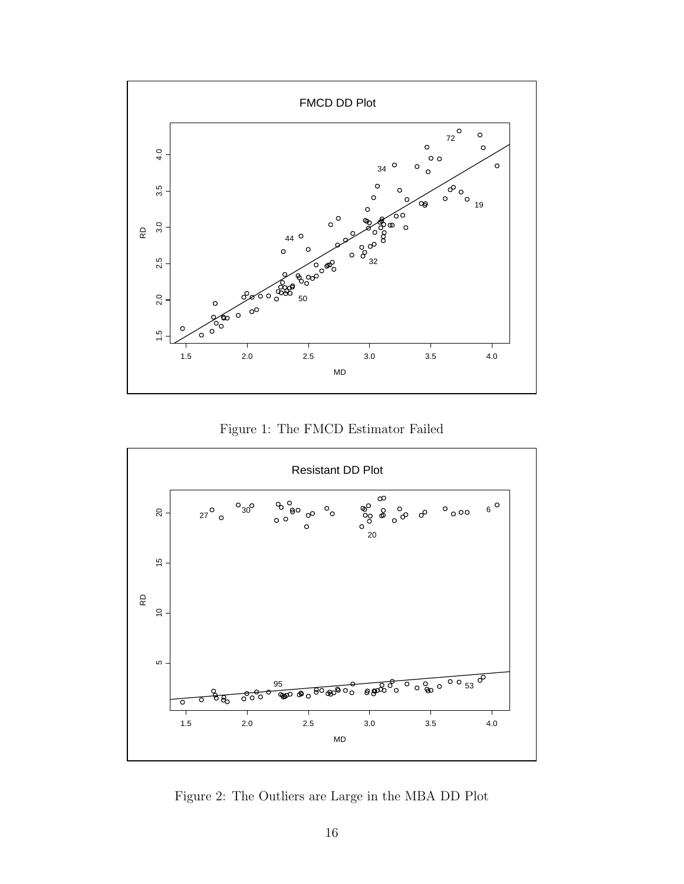

Figure 1: The FMCD Estimator Failed



Figure 2: The Outliers are Large in the MBA DD Plot